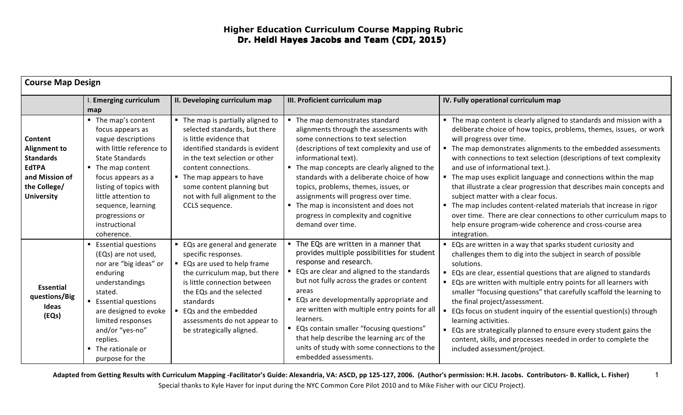| <b>Course Map Design</b>                                                                                                  |                                                                                                                                                                                                                                                                                       |                                                                                                                                                                                                                                                                                                          |                                                                                                                                                                                                                                                                                                                                                                                                                                                                                                      |                                                                                                                                                                                                                                                                                                                                                                                                                                                                                                                                                                                                                                                                                                                                                            |
|---------------------------------------------------------------------------------------------------------------------------|---------------------------------------------------------------------------------------------------------------------------------------------------------------------------------------------------------------------------------------------------------------------------------------|----------------------------------------------------------------------------------------------------------------------------------------------------------------------------------------------------------------------------------------------------------------------------------------------------------|------------------------------------------------------------------------------------------------------------------------------------------------------------------------------------------------------------------------------------------------------------------------------------------------------------------------------------------------------------------------------------------------------------------------------------------------------------------------------------------------------|------------------------------------------------------------------------------------------------------------------------------------------------------------------------------------------------------------------------------------------------------------------------------------------------------------------------------------------------------------------------------------------------------------------------------------------------------------------------------------------------------------------------------------------------------------------------------------------------------------------------------------------------------------------------------------------------------------------------------------------------------------|
|                                                                                                                           | I. Emerging curriculum<br>map                                                                                                                                                                                                                                                         | II. Developing curriculum map                                                                                                                                                                                                                                                                            | III. Proficient curriculum map                                                                                                                                                                                                                                                                                                                                                                                                                                                                       | IV. Fully operational curriculum map                                                                                                                                                                                                                                                                                                                                                                                                                                                                                                                                                                                                                                                                                                                       |
| Content<br><b>Alignment to</b><br><b>Standards</b><br><b>EdTPA</b><br>and Mission of<br>the College/<br><b>University</b> | • The map's content<br>focus appears as<br>vague descriptions<br>with little reference to<br><b>State Standards</b><br>The map content<br>focus appears as a<br>listing of topics with<br>little attention to<br>sequence, learning<br>progressions or<br>instructional<br>coherence. | • The map is partially aligned to<br>selected standards, but there<br>is little evidence that<br>identified standards is evident<br>in the text selection or other<br>content connections.<br>• The map appears to have<br>some content planning but<br>not with full alignment to the<br>CCLS sequence. | ■ The map demonstrates standard<br>alignments through the assessments with<br>some connections to text selection<br>(descriptions of text complexity and use of<br>informational text).<br>• The map concepts are clearly aligned to the<br>standards with a deliberate choice of how<br>topics, problems, themes, issues, or<br>assignments will progress over time.<br>• The map is inconsistent and does not<br>progress in complexity and cognitive<br>demand over time.                         | • The map content is clearly aligned to standards and mission with a<br>deliberate choice of how topics, problems, themes, issues, or work<br>will progress over time.<br>" The map demonstrates alignments to the embedded assessments<br>with connections to text selection (descriptions of text complexity<br>and use of informational text.).<br>" The map uses explicit language and connections within the map<br>that illustrate a clear progression that describes main concepts and<br>subject matter with a clear focus.<br>The map includes content-related materials that increase in rigor<br>over time. There are clear connections to other curriculum maps to<br>help ensure program-wide coherence and cross-course area<br>integration. |
| <b>Essential</b><br>questions/Big<br>Ideas<br>(EQs)                                                                       | <b>Essential questions</b><br>(EQs) are not used,<br>nor are "big ideas" or<br>enduring<br>understandings<br>stated.<br><b>Essential questions</b><br>are designed to evoke<br>limited responses<br>and/or "yes-no"<br>replies.<br>The rationale or<br>purpose for the                | ■ EQs are general and generate<br>specific responses.<br>■ EQs are used to help frame<br>the curriculum map, but there<br>is little connection between<br>the EQs and the selected<br>standards<br>■ EQs and the embedded<br>assessments do not appear to<br>be strategically aligned.                   | • The EQs are written in a manner that<br>provides multiple possibilities for student<br>response and research.<br>EQs are clear and aligned to the standards<br>but not fully across the grades or content<br>areas<br>■ EQs are developmentally appropriate and<br>are written with multiple entry points for all<br>learners.<br>" EQs contain smaller "focusing questions"<br>that help describe the learning arc of the<br>units of study with some connections to the<br>embedded assessments. | ■ EQs are written in a way that sparks student curiosity and<br>challenges them to dig into the subject in search of possible<br>solutions.<br>■ EQs are clear, essential questions that are aligned to standards<br>■ EQs are written with multiple entry points for all learners with<br>smaller "focusing questions" that carefully scaffold the learning to<br>the final project/assessment.<br>EQs focus on student inquiry of the essential question(s) through<br>learning activities.<br>EQs are strategically planned to ensure every student gains the<br>content, skills, and processes needed in order to complete the<br>included assessment/project.                                                                                         |

Adapted from Getting Results with Curriculum Mapping -Facilitator's Guide: Alexandria, VA: ASCD, pp 125-127, 2006. (Author's permission: H.H. Jacobs. Contributors- B. Kallick, L. Fisher) Special thanks to Kyle Haver for input during the NYC Common Core Pilot 2010 and to Mike Fisher with our CICU Project).

1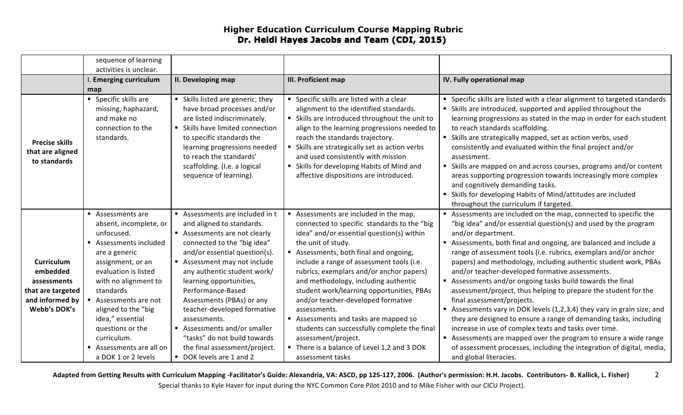## **Higher Education Curriculum Course Mapping Rubric Dr. Heidi Hayes Jacobs and Team (CDI, 2015)**

|                                                                                                             | sequence of learning                                                                                                                                                                                                                                                                                                                     |                                                                                                                                                                                                                                                                                                                                                                                                                                                                             |                                                                                                                                                                                                                                                                                                                                                                                                                                                                                                                                                                                                                   |                                                                                                                                                                                                                                                                                                                                                                                                                                                                                                                                                                                                                                                                                                                                                                                                                                                                                                                                                               |
|-------------------------------------------------------------------------------------------------------------|------------------------------------------------------------------------------------------------------------------------------------------------------------------------------------------------------------------------------------------------------------------------------------------------------------------------------------------|-----------------------------------------------------------------------------------------------------------------------------------------------------------------------------------------------------------------------------------------------------------------------------------------------------------------------------------------------------------------------------------------------------------------------------------------------------------------------------|-------------------------------------------------------------------------------------------------------------------------------------------------------------------------------------------------------------------------------------------------------------------------------------------------------------------------------------------------------------------------------------------------------------------------------------------------------------------------------------------------------------------------------------------------------------------------------------------------------------------|---------------------------------------------------------------------------------------------------------------------------------------------------------------------------------------------------------------------------------------------------------------------------------------------------------------------------------------------------------------------------------------------------------------------------------------------------------------------------------------------------------------------------------------------------------------------------------------------------------------------------------------------------------------------------------------------------------------------------------------------------------------------------------------------------------------------------------------------------------------------------------------------------------------------------------------------------------------|
|                                                                                                             | activities is unclear.<br>I. Emerging curriculum<br>map                                                                                                                                                                                                                                                                                  | II. Developing map                                                                                                                                                                                                                                                                                                                                                                                                                                                          | <b>III. Proficient map</b>                                                                                                                                                                                                                                                                                                                                                                                                                                                                                                                                                                                        | IV. Fully operational map                                                                                                                                                                                                                                                                                                                                                                                                                                                                                                                                                                                                                                                                                                                                                                                                                                                                                                                                     |
| <b>Precise skills</b><br>that are aligned<br>to standards                                                   | • Specific skills are<br>missing, haphazard,<br>and make no<br>connection to the<br>standards.                                                                                                                                                                                                                                           | Skills listed are generic; they<br>have broad processes and/or<br>are listed indiscriminately.<br>• Skills have limited connection<br>to specific standards the<br>learning progressions needed<br>to reach the standards'<br>scaffolding. (I.e. a logical<br>sequence of learning).                                                                                                                                                                                        | • Specific skills are listed with a clear<br>alignment to the identified standards.<br>Skills are introduced throughout the unit to<br>align to the learning progressions needed to<br>reach the standards trajectory.<br>Skills are strategically set as action verbs<br>and used consistently with mission<br>" Skills for developing Habits of Mind and<br>affective dispositions are introduced.                                                                                                                                                                                                              | • Specific skills are listed with a clear alignment to targeted standards<br>Skills are introduced, supported and applied throughout the<br>learning progressions as stated in the map in order for each student<br>to reach standards scaffolding.<br>• Skills are strategically mapped, set as action verbs, used<br>consistently and evaluated within the final project and/or<br>assessment.<br>• Skills are mapped on and across courses, programs and/or content<br>areas supporting progression towards increasingly more complex<br>and cognitively demanding tasks.<br>Skills for developing Habits of Mind/attitudes are included<br>throughout the curriculum if targeted.                                                                                                                                                                                                                                                                         |
| <b>Curriculum</b><br>embedded<br>assessments<br>that are targeted<br>and informed by<br><b>Webb's DOK's</b> | Assessments are<br>absent, incomplete, or<br>unfocused.<br>Assessments included<br>are a generic<br>assignment, or an<br>evaluation is listed<br>with no alignment to<br>standards<br>Assessments are not<br>aligned to the "big<br>idea," essential<br>questions or the<br>curriculum.<br>Assessments are all on<br>a DOK 1 or 2 levels | Assessments are included in t<br>and aligned to standards.<br>Assessments are not clearly<br>connected to the "big idea"<br>and/or essential question(s).<br>Assessment may not include<br>any authentic student work/<br>learning opportunities,<br>Performance-Based<br>Assessments (PBAs) or any<br>teacher-developed formative<br>assessments.<br>Assessments and/or smaller<br>"tasks" do not build towards<br>the final assessment/project.<br>DOK levels are 1 and 2 | Assessments are included in the map,<br>connected to specific standards to the "big<br>idea" and/or essential question(s) within<br>the unit of study.<br>Assessments, both final and ongoing,<br>include a range of assessment tools (i.e.<br>rubrics, exemplars and/or anchor papers)<br>and methodology, including authentic<br>student work/learning opportunities, PBAs<br>and/or teacher-developed formative<br>assessments.<br>Assessments and tasks are mapped so<br>students can successfully complete the final<br>assessment/project.<br>There is a balance of Level 1,2 and 3 DOK<br>assessment tasks | Assessments are included on the map, connected to specific the<br>"big idea" and/or essential question(s) and used by the program<br>and/or department.<br>Assessments, both final and ongoing, are balanced and include a<br>range of assessment tools (i.e. rubrics, exemplars and/or anchor<br>papers) and methodology, including authentic student work, PBAs<br>and/or teacher-developed formative assessments.<br>Assessments and/or ongoing tasks build towards the final<br>assessment/project, thus helping to prepare the student for the<br>final assessment/projects.<br>Assessments vary in DOK levels (1,2,3,4) they vary in grain size; and<br>they are designed to ensure a range of demanding tasks, including<br>increase in use of complex texts and tasks over time.<br>Assessments are mapped over the program to ensure a wide range<br>of assessment processes, including the integration of digital, media,<br>and global literacies. |

Adapted from Getting Results with Curriculum Mapping -Facilitator's Guide: Alexandria, VA: ASCD, pp 125-127, 2006. (Author's permission: H.H. Jacobs. Contributors- B. Kallick, L. Fisher) Special thanks to Kyle Haver for input during the NYC Common Core Pilot 2010 and to Mike Fisher with our CICU Project). 2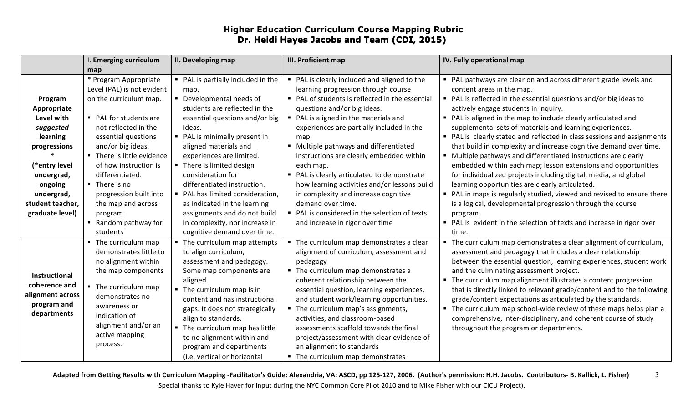## **Higher Education Curriculum Course Mapping Rubric Dr. Heidi Hayes Jacobs and Team (CDI, 2015)**

|                                                                                                                                                                              | I. Emerging curriculum                                                                                                                                                                                                                                                                                                                                                 | II. Developing map                                                                                                                                                                                                                                                                                                                                                                                                                                                                              | III. Proficient map                                                                                                                                                                                                                                                                                                                                                                                                                                                                                                                                                                                                  | IV. Fully operational map                                                                                                                                                                                                                                                                                                                                                                                                                                                                                                                                                                                                                                                                                                                                                                                                                                                                                                                                                              |
|------------------------------------------------------------------------------------------------------------------------------------------------------------------------------|------------------------------------------------------------------------------------------------------------------------------------------------------------------------------------------------------------------------------------------------------------------------------------------------------------------------------------------------------------------------|-------------------------------------------------------------------------------------------------------------------------------------------------------------------------------------------------------------------------------------------------------------------------------------------------------------------------------------------------------------------------------------------------------------------------------------------------------------------------------------------------|----------------------------------------------------------------------------------------------------------------------------------------------------------------------------------------------------------------------------------------------------------------------------------------------------------------------------------------------------------------------------------------------------------------------------------------------------------------------------------------------------------------------------------------------------------------------------------------------------------------------|----------------------------------------------------------------------------------------------------------------------------------------------------------------------------------------------------------------------------------------------------------------------------------------------------------------------------------------------------------------------------------------------------------------------------------------------------------------------------------------------------------------------------------------------------------------------------------------------------------------------------------------------------------------------------------------------------------------------------------------------------------------------------------------------------------------------------------------------------------------------------------------------------------------------------------------------------------------------------------------|
|                                                                                                                                                                              | map                                                                                                                                                                                                                                                                                                                                                                    |                                                                                                                                                                                                                                                                                                                                                                                                                                                                                                 |                                                                                                                                                                                                                                                                                                                                                                                                                                                                                                                                                                                                                      |                                                                                                                                                                                                                                                                                                                                                                                                                                                                                                                                                                                                                                                                                                                                                                                                                                                                                                                                                                                        |
| Program<br>Appropriate<br>Level with<br>suggested<br>learning<br>progressions<br>(*entry level<br>undergrad,<br>ongoing<br>undergrad,<br>student teacher,<br>graduate level) | * Program Appropriate<br>Level (PAL) is not evident<br>on the curriculum map.<br>• PAL for students are<br>not reflected in the<br>essential questions<br>and/or big ideas.<br>• There is little evidence<br>of how instruction is<br>differentiated.<br>• There is no<br>progression built into<br>the map and across<br>program.<br>■ Random pathway for<br>students | • PAL is partially included in the<br>map.<br>• Developmental needs of<br>students are reflected in the<br>essential questions and/or big<br>ideas.<br>• PAL is minimally present in<br>aligned materials and<br>experiences are limited.<br>• There is limited design<br>consideration for<br>differentiated instruction.<br>• PAL has limited consideration,<br>as indicated in the learning<br>assignments and do not build<br>in complexity, nor increase in<br>cognitive demand over time. | • PAL is clearly included and aligned to the<br>learning progression through course<br>• PAL of students is reflected in the essential<br>questions and/or big ideas.<br>PAL is aligned in the materials and<br>experiences are partially included in the<br>map.<br>■ Multiple pathways and differentiated<br>instructions are clearly embedded within<br>each map.<br>• PAL is clearly articulated to demonstrate<br>how learning activities and/or lessons build<br>in complexity and increase cognitive<br>demand over time.<br>• PAL is considered in the selection of texts<br>and increase in rigor over time | PAL pathways are clear on and across different grade levels and<br>content areas in the map.<br>PAL is reflected in the essential questions and/or big ideas to<br>actively engage students in inquiry.<br>• PAL is aligned in the map to include clearly articulated and<br>supplemental sets of materials and learning experiences.<br>• PAL is clearly stated and reflected in class sessions and assignments<br>that build in complexity and increase cognitive demand over time.<br>" Multiple pathways and differentiated instructions are clearly<br>embedded within each map; lesson extensions and opportunities<br>for individualized projects including digital, media, and global<br>learning opportunities are clearly articulated.<br>• PAL in maps is regularly studied, viewed and revised to ensure there<br>is a logical, developmental progression through the course<br>program.<br>• PAL is evident in the selection of texts and increase in rigor over<br>time. |
| Instructional<br>coherence and<br>alignment across<br>program and<br>departments                                                                                             | • The curriculum map<br>demonstrates little to<br>no alignment within<br>the map components<br>• The curriculum map<br>demonstrates no<br>awareness or<br>indication of<br>alignment and/or an<br>active mapping<br>process.                                                                                                                                           | • The curriculum map attempts<br>to align curriculum,<br>assessment and pedagogy.<br>Some map components are<br>aligned.<br>• The curriculum map is in<br>content and has instructional<br>gaps. It does not strategically<br>align to standards.<br>• The curriculum map has little<br>to no alignment within and<br>program and departments<br>(i.e. vertical or horizontal                                                                                                                   | " The curriculum map demonstrates a clear<br>alignment of curriculum, assessment and<br>pedagogy<br>• The curriculum map demonstrates a<br>coherent relationship between the<br>essential question, learning experiences,<br>and student work/learning opportunities.<br>The curriculum map's assignments,<br>activities, and classroom-based<br>assessments scaffold towards the final<br>project/assessment with clear evidence of<br>an alignment to standards<br>• The curriculum map demonstrates                                                                                                               | " The curriculum map demonstrates a clear alignment of curriculum,<br>assessment and pedagogy that includes a clear relationship<br>between the essential question, learning experiences, student work<br>and the culminating assessment project.<br>" The curriculum map alignment illustrates a content progression<br>that is directly linked to relevant grade/content and to the following<br>grade/content expectations as articulated by the standards.<br>" The curriculum map school-wide review of these maps helps plan a<br>comprehensive, inter-disciplinary, and coherent course of study<br>throughout the program or departments.                                                                                                                                                                                                                                                                                                                                      |

Adapted from Getting Results with Curriculum Mapping -Facilitator's Guide: Alexandria, VA: ASCD, pp 125-127, 2006. (Author's permission: H.H. Jacobs. Contributors- B. Kallick, L. Fisher) Special thanks to Kyle Haver for input during the NYC Common Core Pilot 2010 and to Mike Fisher with our CICU Project). 3